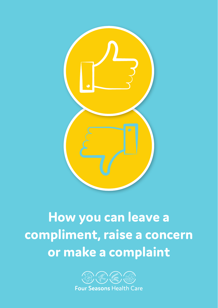

# **How you can leave a compliment, raise a concern or make a complaint**

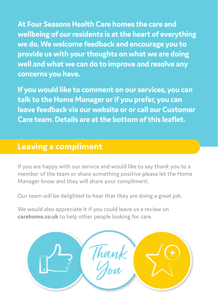**At Four Seasons Health Care homes the care and wellbeing of our residents is at the heart of everything we do. We welcome feedback and encourage you to provide us with your thoughts on what we are doing well and what we can do to improve and resolve any concerns you have.**

**If you would like to comment on our services, you can talk to the Home Manager or if you prefer, you can leave feedback via our website or or call our Customer Care team. Details are at the bottom of this leaflet.**

# **Leaving a compliment**

If you are happy with our service and would like to say thank you to a member of the team or share something positive please let the Home Manager know and they will share your compliment.

Our team will be delighted to hear that they are doing a great job.

We would also appreciate it if you could leave us a review on **carehome.co.uk** to help other people looking for care.

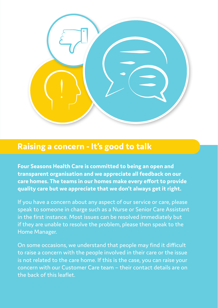

# **Raising a concern - It's good to talk**

**Four Seasons Health Care is committed to being an open and transparent organisation and we appreciate all feedback on our care homes. The teams in our homes make every effort to provide quality care but we appreciate that we don't always get it right.** 

If you have a concern about any aspect of our service or care, please speak to someone in charge such as a Nurse or Senior Care Assistant in the first instance. Most issues can be resolved immediately but if they are unable to resolve the problem, please then speak to the Home Manager.

On some occasions, we understand that people may find it difficult to raise a concern with the people involved in their care or the issue is not related to the care home. If this is the case, you can raise your concern with our Customer Care team – their contact details are on the back of this leaflet.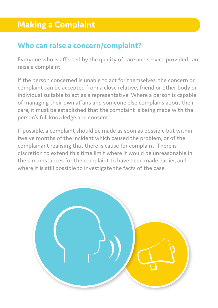# **Who can raise a concern/complaint?**

Everyone who is affected by the quality of care and service provided can raise a complaint.

If the person concerned is unable to act for themselves, the concern or complaint can be accepted from a close relative, friend or other body or individual suitable to act as a representative. Where a person is capable of managing their own affairs and someone else complains about their care, it must be established that the complaint is being made with the person's full knowledge and consent.

If possible, a complaint should be made as soon as possible but within twelve months of the incident which caused the problem, or of the complainant realising that there is cause for complaint. There is discretion to extend this time limit where it would be unreasonable in the circumstances for the complaint to have been made earlier, and where it is still possible to investigate the facts of the case.

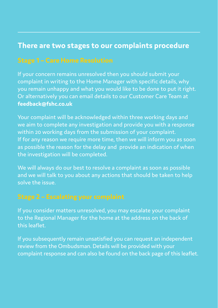## **There are two stages to our complaints procedure**

If your concern remains unresolved then you should submit your complaint in writing to the Home Manager with specific details, why you remain unhappy and what you would like to be done to put it right. Or alternatively you can email details to our Customer Care Team at **feedback@fshc.co.uk**

Your complaint will be acknowledged within three working days and we aim to complete any investigation and provide you with a response within 20 working days from the submission of your complaint. If for any reason we require more time, then we will inform you as soon as possible the reason for the delay and provide an indication of when the investigation will be completed.

We will always do our best to resolve a complaint as soon as possible and we will talk to you about any actions that should be taken to help solve the issue.

If you consider matters unresolved, you may escalate your complaint to the Regional Manager for the home at the address on the back of this leaflet.

If you subsequently remain unsatisfied you can request an independent review from the Ombudsman. Details will be provided with your complaint response and can also be found on the back page of this leaflet.